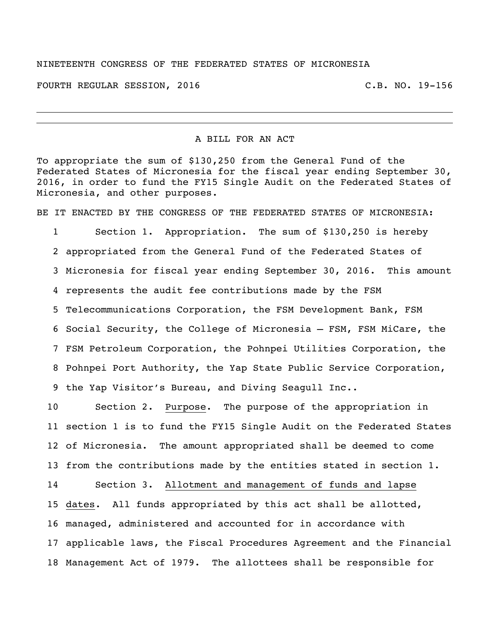## NINETEENTH CONGRESS OF THE FEDERATED STATES OF MICRONESIA

FOURTH REGULAR SESSION, 2016 C.B. NO. 19-156

## A BILL FOR AN ACT

To appropriate the sum of \$130,250 from the General Fund of the Federated States of Micronesia for the fiscal year ending September 30, 2016, in order to fund the FY15 Single Audit on the Federated States of Micronesia, and other purposes.

BE IT ENACTED BY THE CONGRESS OF THE FEDERATED STATES OF MICRONESIA:

 Section 1. Appropriation. The sum of \$130,250 is hereby appropriated from the General Fund of the Federated States of Micronesia for fiscal year ending September 30, 2016. This amount represents the audit fee contributions made by the FSM Telecommunications Corporation, the FSM Development Bank, FSM Social Security, the College of Micronesia – FSM, FSM MiCare, the FSM Petroleum Corporation, the Pohnpei Utilities Corporation, the Pohnpei Port Authority, the Yap State Public Service Corporation, the Yap Visitor's Bureau, and Diving Seagull Inc..

 Section 2. Purpose. The purpose of the appropriation in section 1 is to fund the FY15 Single Audit on the Federated States of Micronesia. The amount appropriated shall be deemed to come from the contributions made by the entities stated in section 1. Section 3. Allotment and management of funds and lapse dates. All funds appropriated by this act shall be allotted, managed, administered and accounted for in accordance with applicable laws, the Fiscal Procedures Agreement and the Financial

Management Act of 1979. The allottees shall be responsible for